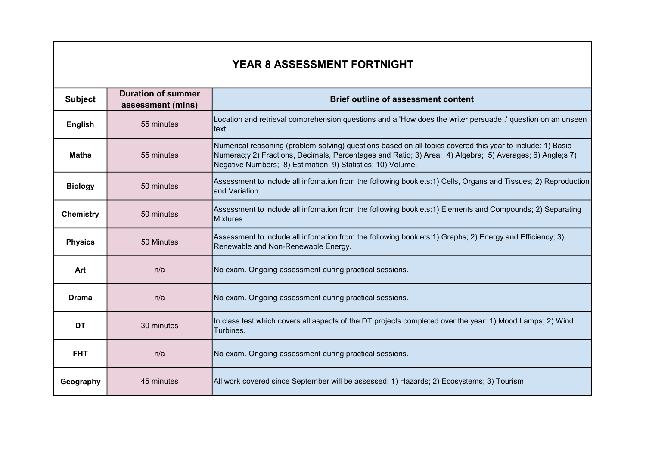## YEAR 8 ASSESSMENT FORTNIGHT

| <b>Subject</b>   | <b>Duration of summer</b><br>assessment (mins) | <b>Brief outline of assessment content</b>                                                                                                                                                                                                                                            |
|------------------|------------------------------------------------|---------------------------------------------------------------------------------------------------------------------------------------------------------------------------------------------------------------------------------------------------------------------------------------|
| <b>English</b>   | 55 minutes                                     | Location and retrieval comprehension questions and a 'How does the writer persuade' question on an unseen<br>text.                                                                                                                                                                    |
| <b>Maths</b>     | 55 minutes                                     | Numerical reasoning (problem solving) questions based on all topics covered this year to include: 1) Basic<br>Numerac;y 2) Fractions, Decimals, Percentages and Ratio; 3) Area; 4) Algebra; 5) Averages; 6) Angle;s 7)<br>Negative Numbers; 8) Estimation; 9) Statistics; 10) Volume. |
| <b>Biology</b>   | 50 minutes                                     | Assessment to include all infomation from the following booklets:1) Cells, Organs and Tissues; 2) Reproduction<br>and Variation.                                                                                                                                                      |
| <b>Chemistry</b> | 50 minutes                                     | Assessment to include all infomation from the following booklets:1) Elements and Compounds; 2) Separating<br>Mixtures.                                                                                                                                                                |
| <b>Physics</b>   | 50 Minutes                                     | Assessment to include all infomation from the following booklets:1) Graphs; 2) Energy and Efficiency; 3)<br>Renewable and Non-Renewable Energy.                                                                                                                                       |
| Art              | n/a                                            | No exam. Ongoing assessment during practical sessions.                                                                                                                                                                                                                                |
| <b>Drama</b>     | n/a                                            | No exam. Ongoing assessment during practical sessions.                                                                                                                                                                                                                                |
| <b>DT</b>        | 30 minutes                                     | In class test which covers all aspects of the DT projects completed over the year: 1) Mood Lamps; 2) Wind<br>Turbines.                                                                                                                                                                |
| <b>FHT</b>       | n/a                                            | No exam. Ongoing assessment during practical sessions.                                                                                                                                                                                                                                |
| Geography        | 45 minutes                                     | All work covered since September will be assessed: 1) Hazards; 2) Ecosystems; 3) Tourism.                                                                                                                                                                                             |